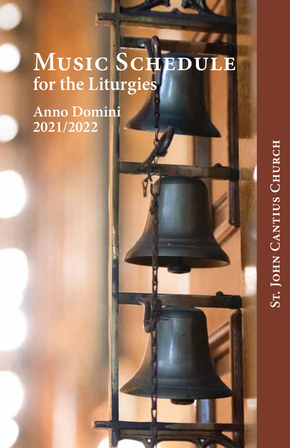# **Music Schedule for the Liturgies**

**Anno Domini 2021/2022**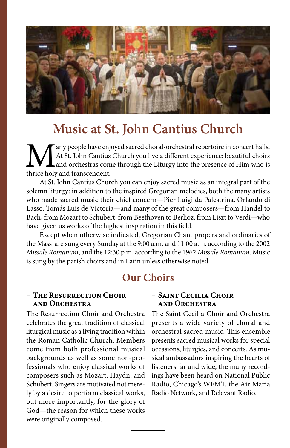

# **Music at St. John Cantius Church**

Many people have enjoyed sacred choral-orchestral repertoire in concert halls.<br>At St. John Cantius Church you live a different experience: beautiful choirs<br>thrice holy and transcendent. At St. John Cantius Church you live a different experience: beautiful choirs and orchestras come through the Liturgy into the presence of Him who is thrice holy and transcendent.

At St. John Cantius Church you can enjoy sacred music as an integral part of the solemn liturgy: in addition to the inspired Gregorian melodies, both the many artists who made sacred music their chief concern—Pier Luigi da Palestrina, Orlando di Lasso, Tomás Luis de Victoria—and many of the great composers—from Handel to Bach, from Mozart to Schubert, from Beethoven to Berlioz, from Liszt to Verdi—who have given us works of the highest inspiration in this field.

Except when otherwise indicated, Gregorian Chant propers and ordinaries of the Mass are sung every Sunday at the 9:00 a.m. and 11:00 a.m. according to the 2002 *Missale Romanum*, and the 12:30 p.m. according to the 1962 *Missale Romanum*. Music is sung by the parish choirs and in Latin unless otherwise noted.

# **Our Choirs**

#### **– The Resurrection Choir and Orchestra**

The Resurrection Choir and Orchestra celebrates the great tradition of classical liturgical music as a living tradition within the Roman Catholic Church. Members come from both professional musical backgrounds as well as some non-professionals who enjoy classical works of composers such as Mozart, Haydn, and Schubert. Singers are motivated not merely by a desire to perform classical works, but more importantly, for the glory of God—the reason for which these works were originally composed.

#### **– Saint Cecilia Choir and Orchestra**

The Saint Cecilia Choir and Orchestra presents a wide variety of choral and orchestral sacred music. This ensemble presents sacred musical works for special occasions, liturgies, and concerts. As musical ambassadors inspiring the hearts of listeners far and wide, the many recordings have been heard on National Public Radio, Chicago's WFMT, the Air Maria Radio Network, and Relevant Radio.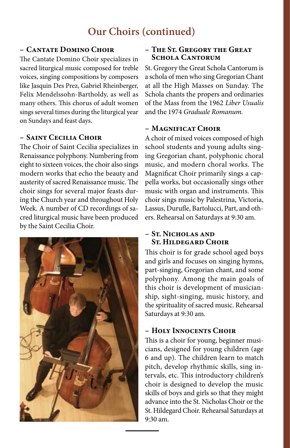# **Our Choirs (continued)**

#### **– Cantate Domino Choir**

The Cantate Domino Choir specializes in sacred liturgical music composed for treble voices, singing compositions by composers like Jasquin Des Prez, Gabriel Rheinberger, Felix Mendelssohn-Bartholdy, as well as many others. This chorus of adult women sings several times during the liturgical year on Sundays and feast days.

### **– Saint Cecilia Choir**

The Choir of Saint Cecilia specializes in Renaissance polyphony. Numbering from eight to sixteen voices, the choir also sings modern works that echo the beauty and austerity of sacred Renaissance music. The choir sings for several major feasts during the Church year and throughout Holy Week. A number of CD recordings of sacred liturgical music have been produced by the Saint Cecilia Choir.



#### **– The St. Gregory the Great Schola Cantorum**

St. Gregory the Great Schola Cantorum is a schola of men who sing Gregorian Chant at all the High Masses on Sunday. The Schola chants the propers and ordinaries of the Mass from the 1962 *Liber Usualis*  and the 1974 *Graduale Romanum.*

### **– Magnificat Choir**

A choir of mixed voices composed of high school students and young adults singing Gregorian chant, polyphonic choral music, and modern choral works. The Magnificat Choir primarily sings a cappella works, but occasionally sings other music with organ and instruments. This choir sings music by Palestrina, Victoria, Lassus, Durufle, Bartolucci, Part, and others. Rehearsal on Saturdays at 9:30 am.

#### **– St. Nicholas and St. Hildegard Choir**

This choir is for grade school aged boys and girls and focuses on singing hymns, part-singing, Gregorian chant, and some polyphony. Among the main goals of this choir is development of musicianship, sight-singing, music history, and the spirituality of sacred music. Rehearsal Saturdays at 9:30 am.

#### **– Holy Innocents Choir**

This is a choir for young, beginner musicians, designed for young children (age 6 and up). The children learn to match pitch, develop rhythmic skills, sing intervals, etc. This introductory children's choir is designed to develop the music skills of boys and girls so that they might advance into the St. Nicholas Choir or the St. Hildegard Choir. Rehearsal Saturdays at 9:30 am.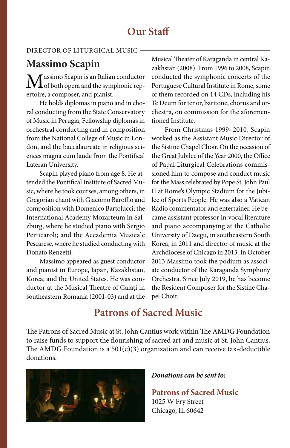# **Our Staff**

#### Director of Liturgical Music

# **Massimo Scapin**

 $\mathbf M$ assimo Scapin is an Italian conductor of both opera and the symphonic repertoire, a composer, and pianist.

He holds diplomas in piano and in choral conducting from the State Conservatory of Music in Perugia, Fellowship diplomas in orchestral conducting and in composition from the National College of Music in London, and the baccalaureate in religious sciences magna cum laude from the Pontifical Lateran University.

Scapin played piano from age 8. He attended the Pontifical Institute of Sacred Music, where he took courses, among others, in Gregorian chant with Giacomo Baroffio and composition with Domenico Bartolucci; the International Academy Mozarteum in Salzburg, where he studied piano with Sergio Perticaroli; and the Accademia Musicale Pescarese, where he studied conducting with Donato Renzetti.

Massimo appeared as guest conductor and pianist in Europe, Japan, Kazakhstan, Korea, and the United States. He was conductor at the Musical Theatre of Galaţi in southeastern Romania (2001-03) and at the Musical Theater of Karaganda in central Kazakhstan (2008). From 1996 to 2008, Scapin conducted the symphonic concerts of the Portuguese Cultural Institute in Rome, some of them recorded on 14 CDs, including his Te Deum for tenor, baritone, chorus and orchestra, on commission for the aforementioned Institute.

From Christmas 1999–2010, Scapin worked as the Assistant Music Director of the Sistine Chapel Choir. On the occasion of the Great Jubilee of the Year 2000, the Office of Papal Liturgical Celebrations commissioned him to compose and conduct music for the Mass celebrated by Pope St. John Paul II at Rome's Olympic Stadium for the Jubilee of Sports People. He was also a Vatican Radio commentator and entertainer. He became assistant professor in vocal literature and piano accompanying at the Catholic University of Daegu, in southeastern South Korea, in 2011 and director of music at the Archdiocese of Chicago in 2013. In October 2013 Massimo took the podium as associate conductor of the Karaganda Symphony Orchestra. Since July 2019, he has become the Resident Composer for the Sistine Chapel Choir.

# **Patrons of Sacred Music**

The Patrons of Sacred Music at St. John Cantius work within The AMDG Foundation to raise funds to support the flourishing of sacred art and music at St. John Cantius. The AMDG Foundation is a  $501(c)(3)$  organization and can receive tax-deductible donations.



#### *Donations can be sent to:*

**Patrons of Sacred Music** 1025 W Fry Street Chicago, IL 60642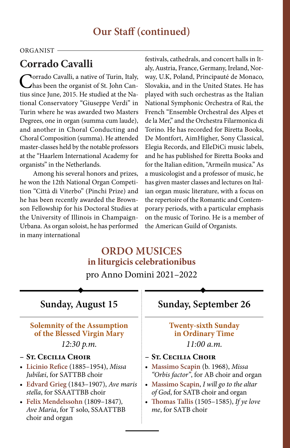# **Our Staff (continued)**

#### ORGANIST -

# **Corrado Cavalli**

**Norrado Cavalli, a native of Turin, Italy,** has been the organist of St. John Cantius since June, 2015. He studied at the National Conservatory "Giuseppe Verdi" in Turin where he was awarded two Masters Degrees, one in organ (summa cum laude), and another in Choral Conducting and Choral Composition (summa). He attended master-classes held by the notable professors at the "Haarlem International Academy for organists" in the Netherlands.

Among his several honors and prizes, he won the 12th National Organ Competition "Città di Viterbo" (Pinchi Prize) and he has been recently awarded the Brownson Fellowship for his Doctoral Studies at the University of Illinois in Champaign-Urbana. As organ soloist, he has performed in many international

festivals, cathedrals, and concert halls in Italy, Austria, France, Germany, Ireland, Norway, U.K, Poland, Principauté de Monaco, Slovakia, and in the United States. He has played with such orchestras as the Italian National Symphonic Orchestra of Rai, the French "Ensemble Orchestral des Alpes et de la Mer," and the Orchestra Filarmonica di Torino. He has recorded for Biretta Books, De Montfort, AimHigher, Sony Classical, Elegia Records, and ElleDiCi music labels, and he has published for Biretta Books and for the Italian edition, "Armeiln musica." As a musicologist and a professor of music, he has given master classes and lectures on Italian organ music literature, with a focus on the repertoire of the Romantic and Contemporary periods, with a particular emphasis on the music of Torino. He is a member of the American Guild of Organists.

### **ORDO MUSICES in liturgicis celebrationibus**

pro Anno Domini 2021–2022

### **Sunday, August 15**

# **Solemnity of the Assumption of the Blessed Virgin Mary**

*12:30 p.m.*

#### **– St. Cecilia Choir**

- • **Licinio Refice** (1885–1954), *Missa Jubilæi*, for SATTBB choir
- • **Edvard Grieg** (1843–1907), *Ave maris stella*, for SSAATTBB choir
- • **Felix Mendelssohn** (1809–1847)*, Ave Maria*, for T solo, SSAATTBB choir and organ

# **Sunday, September 26**

#### **Twenty-sixth Sunday in Ordinary Time** *11:00 a.m.*

#### **– St. Cecilia Choir**

- • **Massimo Scapin** (b. 1968), *Missa "Orbis factor"*, for AB choir and organ
- • **Massimo Scapin**, *I will go to the altar of God*, for SATB choir and organ
- • **Thomas Tallis** (1505–1585), *If ye love me*, for SATB choir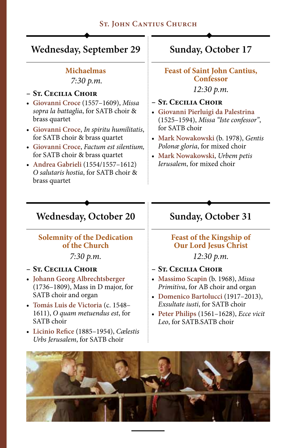### **St. John Cantius Church**

### **Wednesday, September 29**

### **Michaelmas**

 *7:30 p.m.*

### **– St. Cecilia Choir**

- • **Giovanni Croce** (1557–1609), *Missa sopra la battaglia*, for SATB choir & brass quartet
- • **Giovanni Croce**, *In spiritu humilitatis*, for SATB choir & brass quartet
- • **Giovanni Croce**, *Factum est silentium,* for SATB choir & brass quartet
- • **Andrea Gabrieli** (1554/1557–1612) *O salutaris hostia*, for SATB choir & brass quartet

# **Sunday, October 17**

**Feast of Saint John Cantius, Confessor**

*12:30 p.m.*

#### **– St. Cecilia Choir**

- • **Giovanni Pierluigi da Palestrina**  (1525–1594), *Missa "Iste confessor"*, for SATB choir
- • **Mark Nowakowski** (b. 1978), *Gentis Polonæ gloria*, for mixed choir
- • **Mark Nowakowski**, *Urbem petis Ierusalem*, for mixed choir

### **Wednesday, October 20**

### **Solemnity of the Dedication of the Church**

*7:30 p.m.*

#### **– St. Cecilia Choir**

- • **Johann Georg Albrechtsberger**  (1736–1809), Mass in D major, for SATB choir and organ
- • **Tomás Luis de Victoria** (c. 1548– 1611), *O quam metuendus est*, for SATB choir
- • **Licinio Refice** (1885–1954), *Cælestis Urbs Jerusalem*, for SATB choir

# **Sunday, October 31**

### **Feast of the Kingship of Our Lord Jesus Christ**  *12:30 p.m.*

- **– St. Cecilia Choir**
- • **Massimo Scapin** (b. 1968), *Missa Primitiva*, for AB choir and organ
- • **Domenico Bartolucci** (1917–2013), *Exsultate iusti*, for SATB choir
- • **Peter Philips** (1561–1628), *Ecce vicit Leo*, for SATB.SATB choir

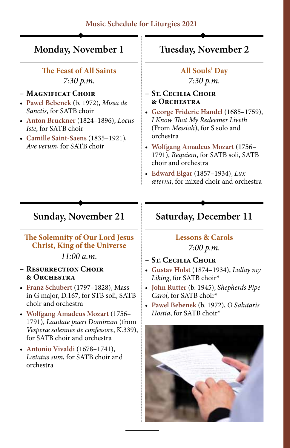### **Music Schedule for Liturgies 2021**

### **Monday, November 1**

### **The Feast of All Saints** *7:30 p.m.*

#### **– Magnificat Choir**

- • **Pawel Bebenek** (b. 1972), *Missa de Sanctis*, for SATB choir
- • **Anton Bruckner** (1824–1896), *Locus Iste*, for SATB choir
- • **Camille Saint-Saens** (1835–1921)*, Ave verum*, for SATB choir

# **Tuesday, November 2**

**All Souls' Day** *7:30 p.m.*

- **– St. Cecilia Choir & Orchestra**
- • **George Frideric Handel** (1685–1759), *I Know That My Redeemer Liveth*  (From *Messiah*), for S solo and orchestra
- • **Wolfgang Amadeus Mozart** (1756– 1791), *Requiem*, for SATB soli, SATB choir and orchestra
- • **Edward Elgar** (1857–1934), *Lux æterna*, for mixed choir and orchestra

### **Sunday, November 21**

#### **The Solemnity of Our Lord Jesus Christ, King of the Universe**

*11:00 a.m.*

#### **– Resurrection Choir & Orchestra**

- • **Franz Schubert** (1797–1828), Mass in G major, D.167, for STB soli, SATB choir and orchestra
- • **Wolfgang Amadeus Mozart** (1756– 1791), *Laudate pueri Dominum* (from *Vesperæ solennes de confessore*, K.339), for SATB choir and orchestra
- **Antonio Vivaldi** (1678–1741), *Lætatus sum*, for SATB choir and orchestra

# **Saturday, December 11**

### **Lessons & Carols** *7:00 p.m.*

- **– St. Cecilia Choir**
- • **Gustav Holst** (1874–1934), *Lullay my Liking*, for SATB choir\*
- • **John Rutter** (b. 1945), *Shepherds Pipe Carol*, for SATB choir\*
- • **Pawel Bebenek** (b. 1972), *O Salutaris Hostia*, for SATB choir\*

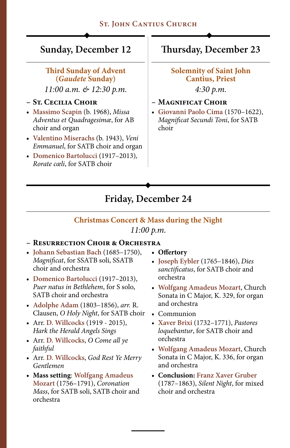### **Sunday, December 12**

#### **Third Sunday of Advent (***Gaudete* **Sunday)**

*11:00 a.m. & 12:30 p.m.*

### **– St. Cecilia Choir**

- • **Massimo Scapin** (b. 1968), *Missa Adventus et Quadragesimæ*, for AB choir and organ
- • **Valentino Miserachs** (b. 1943), *Veni Emmanuel*, for SATB choir and organ
- • **Domenico Bartolucci** (1917–2013)*, Rorate cœli*, for SATB choir

### **Thursday, December 23**

### **Solemnity of Saint John Cantius, Priest**

*4:30 p.m.*

- **– Magnificat Choir**
- • **Giovanni Paolo Cima** (1570–1622), *Magnificat Secundi Toni*, for SATB choir

# **Friday, December 24**

# **Christmas Concert & Mass during the Night**

#### *11:00 p.m.*

#### **– Resurrection Choir & Orchestra**

- • **Johann Sebastian Bach** (1685–1750), *Magnificat*, for SSATB soli, SSATB choir and orchestra
- • **Domenico Bartolucci** (1917–2013), *Puer natus in Bethlehem*, for S solo, SATB choir and orchestra
- • **Adolphe Adam** (1803–1856), *arr.* R. Clausen, *O Holy Night*, for SATB choir
- • Arr. **D. Willcocks** (1919 2015), *Hark the Herald Angels Sings*
- • Arr. **D. Willcocks**, *O Come all ye faithful*
- • Arr. **D. Willcocks**, *God Rest Ye Merry Gentlemen*
- **• Mass setting**: **Wolfgang Amadeus Mozart** (1756–1791), *Coronation Mass*, for SATB soli, SATB choir and orchestra
- **• Offertory**
- • **Joseph Eybler** (1765–1846), *Dies sanctificatus*, for SATB choir and orchestra
- • **Wolfgang Amadeus Mozart**, Church Sonata in C Major, K. 329, for organ and orchestra
- • Communion
- • **Xaver Brixi** (1732–1771), *Pastores loquebantur*, for SATB choir and orchestra
- • **Wolfgang Amadeus Mozart**, Church Sonata in C Major, K. 336, for organ and orchestra
- **• Conclusion: Franz Xaver Gruber**  (1787–1863), *Silent Night*, for mixed choir and orchestra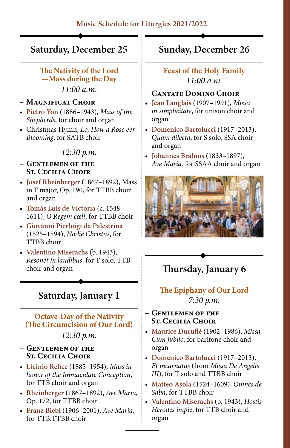### **Saturday, December 25**

#### **The Nativity of the Lord —Mass during the Day** *11:00 a.m.*

#### **– Magnificat Choir**

- • **Pietro Yon** (1886–1943), *Mass of the Shepherds*, for choir and organ
- • Christmas Hymn, *Lo, How a Rose e'er Blooming*, for SATB choir

#### *12:30 p.m.*

#### **– Gentlemen of the St. Cecilia Choir**

- • **Josef Rheinberger** (1867–1892), Mass in F major, Op. 190, for TTBB choir and organ
- • **Tomás Luis de Victoria** (c. 1548– 1611), *O Regem cœli*, for TTBB choir
- • **Giovanni Pierluigi da Palestrina**  (1525–1594), *Hodie Christus*, for TTBB choir
- • **Valentino Miserachs** (b. 1943), *Resonet in laudibus*, for T solo, TTB choir and organ

### **Saturday, January 1**

# **Octave-Day of the Nativity (The Circumcision of Our Lord)**

### *12:30 p.m.*

- **– Gentlemen of the St. Cecilia Choir**
- • **Licinio Refice** (1885–1954), *Mass in honor of the Immaculate Conception*, for TTB choir and organ
- • **Rheinberger** (1867–1892), *Ave Maria*, Op. 172, for TTBB choir
- • **Franz Biebl** (1906–2001), *Ave Maria*, for TTB.TTBB choir

### **Sunday, December 26**

### **Feast of the Holy Family** *11:00 a.m.*

#### **– Cantate Domino Choir**

- • **Jean Langlais** (1907–1991), *Missa in simplicitate*, for unison choir and organ
- • **Domenico Bartolucci** (1917–2013), *Quam dilecta*, for S solo, SSA choir and organ
- • **Johannes Brahms** (1833–1897), *Ave Maria,* for SSAA choir and organ



# **Thursday, January 6**

### **The Epiphany of Our Lord** *7:30 p.m.*

#### **– Gentlemen of the St. Cecilia Choir**

- • **Maurice Duruflé** (1902–1986), *Missa Cum jubilo*, for baritone choir and organ
- • **Domenico Bartolucci** (1917–2013), *Et incarnatus* (from *Missa De Angelis III*), for T solo and TTBB choir
- • **Matteo Asola (**1524–1609), *Omnes de Saba*, for TTBB choir
- • **Valentino Miserachs** (b. 1943), *Hostis Herodes impie*, for TTB choir and organ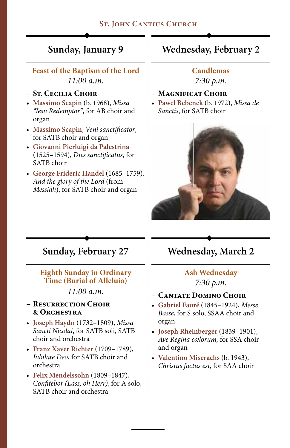### **St. John Cantius Church**

# **Sunday, January 9**

### **Feast of the Baptism of the Lord** *11:00 a.m.*

#### **– St. Cecilia Choir**

- • **Massimo Scapin** (b. 1968), *Missa "Iesu Redemptor"*, for AB choir and organ
- • **Massimo Scapin**, *Veni sanctificator*, for SATB choir and organ
- • **Giovanni Pierluigi da Palestrina**  (1525–1594), *Dies sanctificatus*, for SATB choir
- • **George Frideric Handel** (1685–1759), *And the glory of the Lord* (from *Messiah*), for SATB choir and organ

### **Wednesday, February 2**

#### **Candlemas**

*7:30 p.m.*

#### **– Magnificat Choir**

• **Pawel Bebenek** (b. 1972), *Missa de Sanctis*, for SATB choir



### **Sunday, February 27**

#### **Eighth Sunday in Ordinary Time (Burial of Alleluia)**

*11:00 a.m.*

#### **– Resurrection Choir & Orchestra**

- • **Joseph Haydn** (1732–1809), *Missa Sancti Nicolai*, for SATB soli, SATB choir and orchestra
- • **Franz Xaver Richter** (1709–1789), *Iubilate Deo*, for SATB choir and orchestra
- • **Felix Mendelssohn** (1809–1847), *Confitebor (Lass, oh Herr)*, for A solo, SATB choir and orchestra

# **Wednesday, March 2**

### **Ash Wednesday** *7:30 p.m.*

#### **– Cantate Domino Choir**

- • **Gabriel Fauré** (1845–1924), *Messe Basse*, for S solo, SSAA choir and organ
- • **Joseph Rheinberger** (1839–1901), *Ave Regina cælorum,* for SSA choir and organ
- • **Valentino Miserachs** (b. 1943), *Christus factus est,* for SAA choir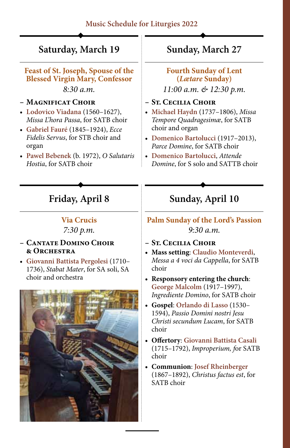# **Saturday, March 19**

**Feast of St. Joseph, Spouse of the Blessed Virgin Mary, Confessor** *8:30 a.m.*

#### **– Magnificat Choir**

- • **Lodovico Viadana** (1560–1627), *Missa L'hora Passa*, for SATB choir
- • **Gabriel Fauré** (1845–1924), *Ecce Fidelis Servus*, for STB choir and organ
- • **Pawel Bebenek** (b. 1972), *O Salutaris Hostia*, for SATB choir

# **Sunday, March 27**

### **Fourth Sunday of Lent (***Lætare* **Sunday)**

*11:00 a.m. & 12:30 p.m.*

### **– St. Cecilia Choir**

- • **Michael Haydn** (1737–1806), *Missa Tempore Quadragesimæ*, for SATB choir and organ
- • **Domenico Bartolucci** (1917–2013), *Parce Domine*, for SATB choir
- • **Domenico Bartolucci**, *Attende Domine*, for S solo and SATTB choir

# **Friday, April 8**

### **Via Crucis**

*7:30 p.m.*

#### **– Cantate Domino Choir & Orchestra**

• **Giovanni Battista Pergolesi** (1710– 1736), *Stabat Mater*, for SA soli, SA choir and orchestra



# **Sunday, April 10**

### **Palm Sunday of the Lord's Passion** *9:30 a.m.*

- **– St. Cecilia Choir**
- **• Mass setting**: **Claudio Monteverdi**, *Messa a 4 voci da Cappella*, for SATB choir
- **• Responsory entering the church**: **George Malcolm** (1917–1997), *Ingrediente Domino*, for SATB choir
- **• Gospel**: **Orlando di Lasso** (1530– 1594), *Passio Domini nostri Jesu Christi secundum Lucam*, for SATB choir
- **• Offertory**: **Giovanni Battista Casali** (1715–1792), *Improperium, f*or SATB choir
- **• Communion**: **Josef Rheinberger**  (1867–1892), *Christus factus est*, for SATB choir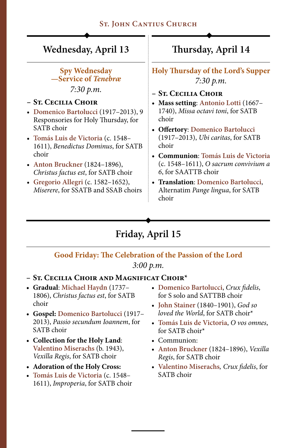### **ST. JOHN CANTIUS CHURCH**

### **Wednesday, April 13**

**Spy Wednesday —Service of** *Tenebræ*

*7:30 p.m.*

#### **– St. Cecilia Choir**

- • **Domenico Bartolucci** (1917–2013), 9 Responsories for Holy Thursday, for SATB choir
- • **Tomás Luis de Victoria** (c. 1548– 1611), *Benedictus Dominus*, for SATB choir
- • **Anton Bruckner** (1824–1896), *Christus factus est*, for SATB choir
- • **Gregorio Allegri** (c. 1582–1652), *Miserere*, for SSATB and SSAB choirs

# **Thursday, April 14**

**Holy Thursday of the Lord's Supper** *7:30 p.m.*

- **– St. Cecilia Choir**
- **• Mass setting**: **Antonio Lotti** (1667– 1740), *Missa octavi toni*, for SATB choir
- **• Offertory**: **Domenico Bartolucci**  (1917–2013), *Ubi caritas*, for SATB choir
- **• Communion**: **Tomás Luis de Victoria**  (c. 1548–1611), *O sacrum convivium a 6*, for SAATTB choir
- **• Translation**: **Domenico Bartolucci**, Alternatim *Pange lingua*, for SATB choir

# **Friday, April 15**

# **Good Friday: The Celebration of the Passion of the Lord**

*3:00 p.m.*

#### **– St. Cecilia Choir and Magnificat Choir\***

- **• Gradual**: **Michael Haydn** (1737– 1806), *Christus factus est*, for SATB choir
- **• Gospel: Domenico Bartolucci** (1917– 2013), *Passio secundum Ioannem*, for SATB choir
- **• Collection for the Holy Land**: **Valentino Miserachs** (b. 1943), *Vexilla Regis*, for SATB choir
- **• Adoration of the Holy Cross:**
- • **Tomás Luis de Victoria** (c. 1548– 1611), *Improperia*, for SATB choir
- • **Domenico Bartolucci**, *Crux fidelis*, for S solo and SATTBB choir
- • **John Stainer** (1840–1901), *God so loved the World*, for SATB choir\*
- • **Tomás Luis de Victoria**, *O vos omnes*, for SATB choir\*
- Communion:
- • **Anton Bruckner** (1824–1896), *Vexilla Regis*, for SATB choir
- • **Valentino Miserachs***, Crux fidelis*, for SATB choir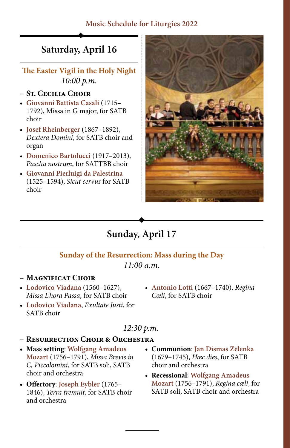### **Music Schedule for Liturgies 2022**

# **Saturday, April 16**

**The Easter Vigil in the Holy Night** *10:00 p.m.*

#### **– St. Cecilia Choir**

- • **Giovanni Battista Casali** (1715– 1792), Missa in G major, for SATB choir
- • **Josef Rheinberger** (1867–1892), *Dextera Domini*, for SATB choir and organ
- • **Domenico Bartolucci** (1917–2013), *Pascha nostrum*, for SATTBB choir
- • **Giovanni Pierluigi da Palestrina** (1525–1594), *Sicut cervus* for SATB choir



# **Sunday, April 17**

#### **Sunday of the Resurrection: Mass during the Day**

*11:00 a.m.*

#### **– Magnificat Choir**

- • **Lodovico Viadana** (1560–1627), *Missa L'hora Passa*, for SATB choir
- • **Lodovico Viadana**, *Exultate Justi*, for SATB choir
- • **Antonio Lotti** (1667–1740), *Regina Cœli*, for SATB choir

### *12:30 p.m.*

- **– Resurrection Choir & Orchestra**
- **• Mass setting**: **Wolfgang Amadeus Mozart** (1756–1791), *Missa Brevis in C, Piccolomini*, for SATB soli, SATB choir and orchestra
- **• Offertory**: **Joseph Eybler** (1765– 1846), *Terra tremuit*, for SATB choir and orchestra
- **• Communion**: **Jan Dismas Zelenka** (1679–1745), *Hæc dies*, for SATB choir and orchestra
- **• Recessional**: **Wolfgang Amadeus Mozart** (1756–1791), *Regina cæli*, for SATB soli, SATB choir and orchestra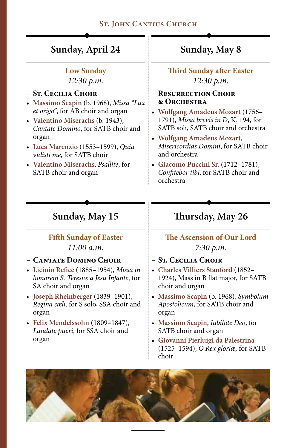### **St. John Cantius Church**

### **Sunday, April 24**

#### **Low Sunday**

*12:30 p.m.*

#### **– St. Cecilia Choir**

- • **Massimo Scapin** (b. 1968), *Missa "Lux et origo"*, for AB choir and organ
- • **Valentino Miserachs** (b. 1943), *Cantate Domino*, for SATB choir and organ
- • **Luca Marenzio** (1553–1599), *Quia vidisti me*, for SATB choir
- • **Valentino Miserachs**, *Psallite*, for SATB choir and organ

# **Sunday, May 8**

**Third Sunday after Easter** *12:30 p.m.*

#### **– Resurrection Choir & Orchestra**

- • **Wolfgang Amadeus Mozart** (1756– 1791), *Missa brevis in D*, K. 194, for SATB soli, SATB choir and orchestra
- • **Wolfgang Amadeus Mozart**, *Misericordias Domini*, for SATB choir and orchestra
- • **Giacomo Puccini Sr.** (1712–1781), *Confitebor tibi*, for SATB choir and orchestra

### **Sunday, May 15**

### **Fifth Sunday of Easter** *11:00 a.m.*

- **– Cantate Domino Choir**
- • **Licinio Refice** (1885–1954), *Missa in honorem S. Teresiæ a Jesu Infante*, for SA choir and organ
- • **Joseph Rheinberger** (1839–1901), *Regina cæli,* for S solo, SSA choir and organ
- • **Felix Mendelssohn** (1809–1847), *Laudate pueri*, for SSA choir and organ

# **Thursday, May 26**

**The Ascension of Our Lord** *7:30 p.m.*

- **– St. Cecilia Choir**
- • **Charles Villiers Stanford** (1852– 1924), Mass in B flat major, for SATB choir and organ
- • **Massimo Scapin** (b. 1968), *Symbolum Apostolicum*, for SATB choir and organ
- • **Massimo Scapin**, *Iubilate Deo*, for SATB choir and organ
- • **Giovanni Pierluigi da Palestrina** (1525–1594), *O Rex gloriæ,* for SATB choir

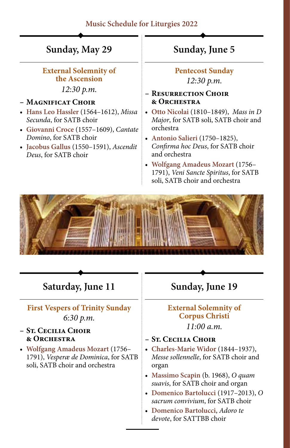### **Music Schedule for Liturgies 2022**

### **Sunday, May 29**

#### **External Solemnity of the Ascension**

*12:30 p.m.*

#### **– Magnificat Choir**

- • **Hans Leo Hassler** (1564–1612), *Missa Secunda*, for SATB choir
- • **Giovanni Croce** (1557–1609), *Cantate Domino*, for SATB choir
- • **Jacobus Gallus** (1550–1591), *Ascendit Deus*, for SATB choir

### **Sunday, June 5**

**Pentecost Sunday** *12:30 p.m.*

#### **– Resurrection Choir & Orchestra**

- • **Otto Nicolai** (1810–1849), *Mass in D Major*, for SATB soli, SATB choir and orchestra
- • **Antonio Salieri** (1750–1825), *Confirma hoc Deus*, for SATB choir and orchestra
- • **Wolfgang Amadeus Mozart** (1756– 1791), *Veni Sancte Spiritus*, for SATB soli, SATB choir and orchestra



### **Saturday, June 11**

### **First Vespers of Trinity Sunday** *6:30 p.m.*

#### **– St. Cecilia Choir & Orchestra**

• **Wolfgang Amadeus Mozart** (1756– 1791), *Vesperæ de Dominica*, for SATB soli, SATB choir and orchestra

# **Sunday, June 19**

### **External Solemnity of Corpus Christi**

*11:00 a.m.*

- **– St. Cecilia Choir**
- • **Charles-Marie Widor** (1844–1937), *Messe sollennelle*, for SATB choir and organ
- • **Massimo Scapin** (b. 1968), *O quam suavis*, for SATB choir and organ
- • **Domenico Bartolucci** (1917–2013), *O sacrum convivium*, for SATB choir
- • **Domenico Bartolucci**, *Adoro te devote*, for SATTBB choir